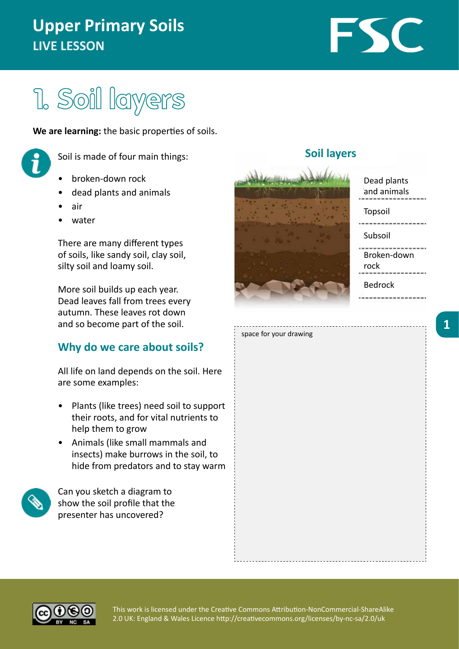## **Upper Primary Soils LIVE LESSON**

# FSC

## 1. Soil layers

**We are learning:** the basic properties of soils.



Soil is made of four main things:

- broken-down rock
- dead plants and animals
- air
- water

There are many different types of soils, like sandy soil, clay soil, silty soil and loamy soil.

More soil builds up each year. Dead leaves fall from trees every autumn. These leaves rot down and so become part of the soil.

## **Why do we care about soils?**

All life on land depends on the soil. Here are some examples:

- Plants (like trees) need soil to support their roots, and for vital nutrients to help them to grow
- Animals (like small mammals and insects) make burrows in the soil, to hide from predators and to stay warm



Can you sketch a diagram to show the soil profile that the presenter has uncovered?



**Soil layers**

## Dead plants and animals Topsoil Subsoil . . . . . . . . . . . . . . . . . Broken-down rock Bedrock

. . . . . . . . . . . . . . . . . . .

space for your drawing

**1**

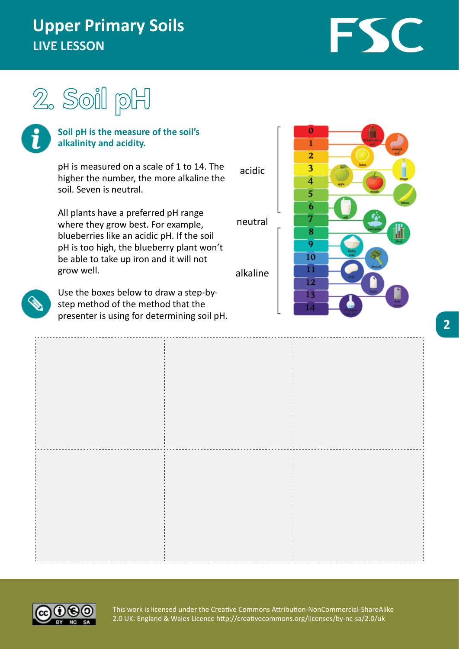## **Upper Primary Soils LIVE LESSON**

FSC





#### **Soil pH is the measure of the soil's alkalinity and acidity.**

pH is measured on a scale of 1 to 14. The higher the number, the more alkaline the soil. Seven is neutral.

All plants have a preferred pH range where they grow best. For example, blueberries like an acidic pH. If the soil pH is too high, the blueberry plant won't be able to take up iron and it will not grow well.



Use the boxes below to draw a step-bystep method of the method that the presenter is using for determining soil pH.





acidic

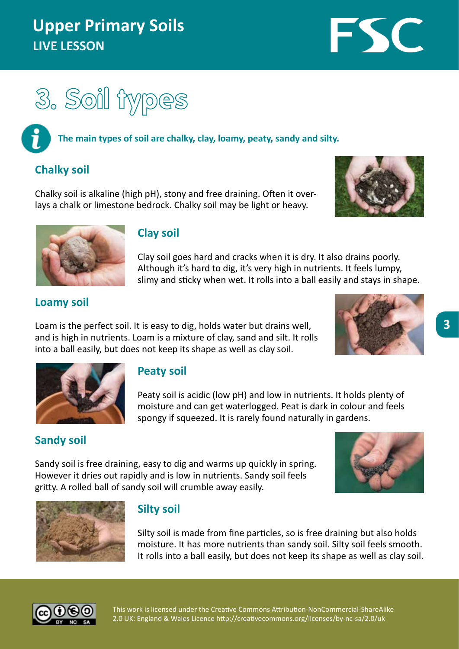## **Upper Primary Soils LIVE LESSON**

FSC



#### **The main types of soil are chalky, clay, loamy, peaty, sandy and silty.**

## **Chalky soil**

Chalky soil is alkaline (high pH), stony and free draining. Often it overlays a chalk or limestone bedrock. Chalky soil may be light or heavy.





### **Clay soil**

Clay soil goes hard and cracks when it is dry. It also drains poorly. Although it's hard to dig, it's very high in nutrients. It feels lumpy, slimy and sticky when wet. It rolls into a ball easily and stays in shape.

### **Loamy soil**

Loam is the perfect soil. It is easy to dig, holds water but drains well, and is high in nutrients. Loam is a mixture of clay, sand and silt. It rolls into a ball easily, but does not keep its shape as well as clay soil.

**Peaty soil**





Peaty soil is acidic (low pH) and low in nutrients. It holds plenty of moisture and can get waterlogged. Peat is dark in colour and feels spongy if squeezed. It is rarely found naturally in gardens.

## **Sandy soil**

Sandy soil is free draining, easy to dig and warms up quickly in spring. However it dries out rapidly and is low in nutrients. Sandy soil feels gritty. A rolled ball of sandy soil will crumble away easily.





## **Silty soil**

Silty soil is made from fine particles, so is free draining but also holds moisture. It has more nutrients than sandy soil. Silty soil feels smooth. It rolls into a ball easily, but does not keep its shape as well as clay soil.